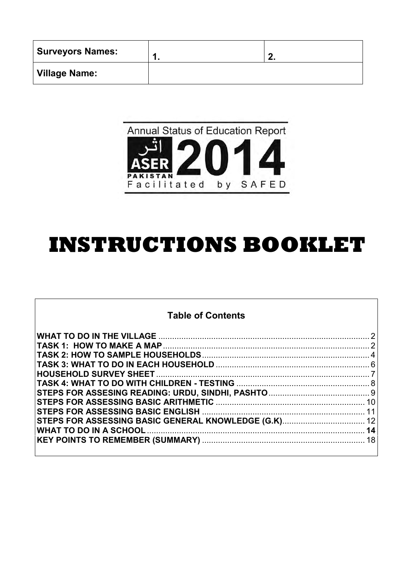| <b>Surveyors Names:</b> | -- |
|-------------------------|----|
| Village Name:           |    |



# **INSTRUCTIONS BOOKLET**

# **Table of Contents**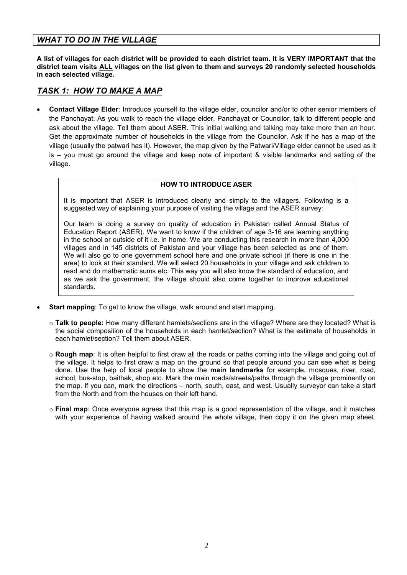# <span id="page-1-0"></span>*WHAT TO DO IN THE VILLAGE*

**A list of villages for each district will be provided to each district team. It is VERY IMPORTANT that the district team visits ALL villages on the list given to them and surveys 20 randomly selected households in each selected village.** 

# <span id="page-1-1"></span>*TASK 1: HOW TO MAKE A MAP*

 **Contact Village Elder**: Introduce yourself to the village elder, councilor and/or to other senior members of the Panchayat. As you walk to reach the village elder, Panchayat or Councilor, talk to different people and ask about the village. Tell them about ASER. This initial walking and talking may take more than an hour. Get the approximate number of households in the village from the Councilor. Ask if he has a map of the village (usually the patwari has it). However, the map given by the Patwari/Village elder cannot be used as it is – you must go around the village and keep note of important & visible landmarks and setting of the village.

#### **HOW TO INTRODUCE ASER**

It is important that ASER is introduced clearly and simply to the villagers. Following is a suggested way of explaining your purpose of visiting the village and the ASER survey:

Our team is doing a survey on quality of education in Pakistan called Annual Status of Education Report (ASER). We want to know if the children of age 3-16 are learning anything in the school or outside of it i.e. in home. We are conducting this research in more than 4,000 villages and in 145 districts of Pakistan and your village has been selected as one of them. We will also go to one government school here and one private school (if there is one in the area) to look at their standard. We will select 20 households in your village and ask children to read and do mathematic sums etc. This way you will also know the standard of education, and as we ask the government, the village should also come together to improve educational standards.

- **Start mapping**: To get to know the village, walk around and start mapping.
	- o **Talk to people:** How many different hamlets/sections are in the village? Where are they located? What is the social composition of the households in each hamlet/section? What is the estimate of households in each hamlet/section? Tell them about ASER.
	- o **Rough map**: It is often helpful to first draw all the roads or paths coming into the village and going out of the village. It helps to first draw a map on the ground so that people around you can see what is being done. Use the help of local people to show the **main landmarks** for example, mosques, river, road, school, bus-stop, baithak, shop etc. Mark the main roads/streets/paths through the village prominently on the map. If you can, mark the directions – north, south, east, and west. Usually surveyor can take a start from the North and from the houses on their left hand.
	- o **Final map**: Once everyone agrees that this map is a good representation of the village, and it matches with your experience of having walked around the whole village, then copy it on the given map sheet.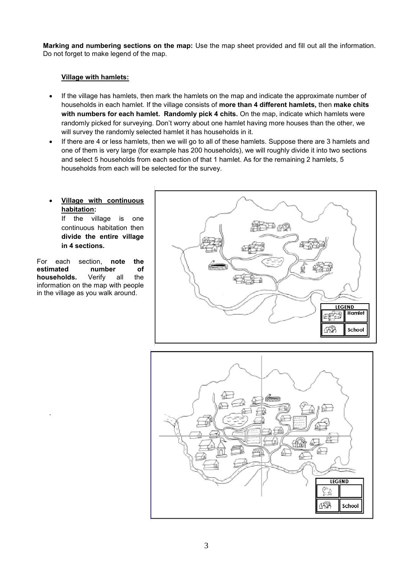**Marking and numbering sections on the map:** Use the map sheet provided and fill out all the information. Do not forget to make legend of the map.

#### **Village with hamlets:**

- If the village has hamlets, then mark the hamlets on the map and indicate the approximate number of households in each hamlet. If the village consists of **more than 4 different hamlets,** then **make chits with numbers for each hamlet. Randomly pick 4 chits.** On the map, indicate which hamlets were randomly picked for surveying. Don't worry about one hamlet having more houses than the other, we will survey the randomly selected hamlet it has households in it.
- If there are 4 or less hamlets, then we will go to all of these hamlets. Suppose there are 3 hamlets and one of them is very large (for example has 200 households), we will roughly divide it into two sections and select 5 households from each section of that 1 hamlet. As for the remaining 2 hamlets, 5 households from each will be selected for the survey.

# **Village with continuous habitation:**

If the village is one continuous habitation then **divide the entire village in 4 sections.**

For each section, **note the estimated number of households.** Verify all the information on the map with people in the village as you walk around.

.



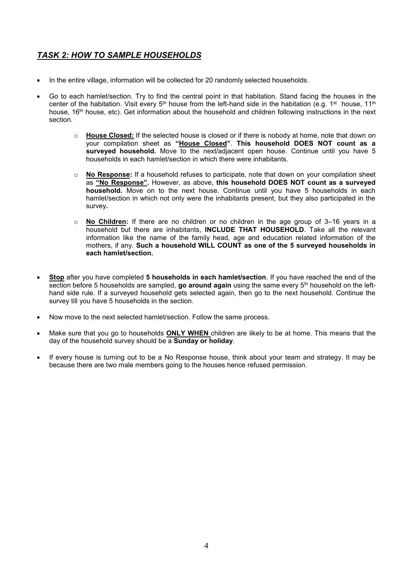# <span id="page-3-0"></span>*TASK 2: HOW TO SAMPLE HOUSEHOLDS*

- In the entire village, information will be collected for 20 randomly selected households.
- Go to each hamlet/section. Try to find the central point in that habitation. Stand facing the houses in the center of the habitation. Visit every 5<sup>th</sup> house from the left-hand side in the habitation (e.g. 1<sup>st</sup> house, 11<sup>th</sup> house, 16<sup>th</sup> house, etc). Get information about the household and children following instructions in the next section.
	- o **House Closed:** If the selected house is closed or if there is nobody at home, note that down on your compilation sheet as **"House Closed"**. **This household DOES NOT count as a surveyed household.** Move to the next/adjacent open house. Continue until you have 5 households in each hamlet/section in which there were inhabitants.
	- o **No Response:** If a household refuses to participate, note that down on your compilation sheet as **"No Response".** However, as above, **this household DOES NOT count as a surveyed household.** Move on to the next house. Continue until you have 5 households in each hamlet/section in which not only were the inhabitants present, but they also participated in the survey**.**
	- o **No Children:** If there are no children or no children in the age group of 3–16 years in a household but there are inhabitants, **INCLUDE THAT HOUSEHOLD**. Take all the relevant information like the name of the family head, age and education related information of the mothers, if any. **Such a household WILL COUNT as one of the 5 surveyed households in each hamlet/section.**
- **Stop** after you have completed **5 households in each hamlet/section**. If you have reached the end of the section before 5 households are sampled, **go around again** using the same every 5th household on the lefthand side rule. If a surveyed household gets selected again, then go to the next household. Continue the survey till you have 5 households in the section.
- Now move to the next selected hamlet/section. Follow the same process.
- Make sure that you go to households **ONLY WHEN** children are likely to be at home. This means that the day of the household survey should be a **Sunday or holiday**.
- If every house is turning out to be a No Response house, think about your team and strategy. It may be because there are two male members going to the houses hence refused permission.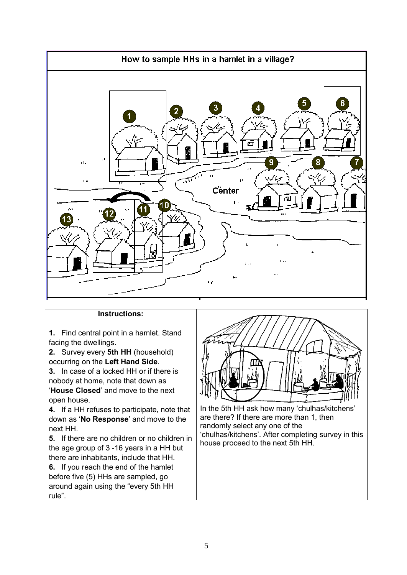

## **Instructions:**

**1.** Find central point in a hamlet. Stand facing the dwellings.

**2.** Survey every **5th HH** (household) occurring on the **Left Hand Side**.

**3.** In case of a locked HH or if there is nobody at home, note that down as '**House Closed**' and move to the next open house.

**4.** If a HH refuses to participate, note that down as '**No Response**' and move to the next HH.

**5.** If there are no children or no children in the age group of 3 -16 years in a HH but there are inhabitants, include that HH.

**6.** If you reach the end of the hamlet before five (5) HHs are sampled, go around again using the "every 5th HH rule".



In the 5th HH ask how many 'chulhas/kitchens' are there? If there are more than 1, then randomly select any one of the 'chulhas/kitchens'. After completing survey in this house proceed to the next 5th HH.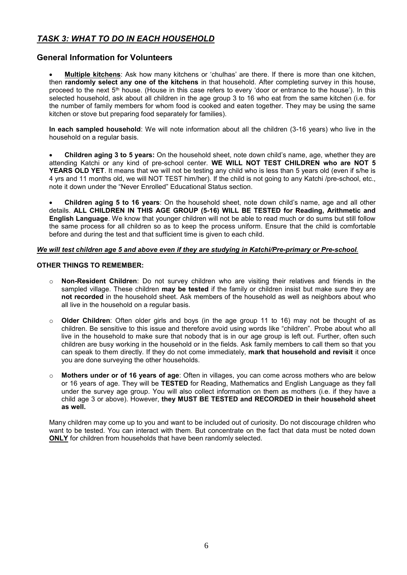# <span id="page-5-0"></span>*TASK 3: WHAT TO DO IN EACH HOUSEHOLD*

## **General Information for Volunteers**

 **Multiple kitchens**: Ask how many kitchens or 'chulhas' are there. If there is more than one kitchen, then **randomly select any one of the kitchens** in that household. After completing survey in this house, proceed to the next 5<sup>th</sup> house. (House in this case refers to every 'door or entrance to the house'). In this selected household, ask about all children in the age group 3 to 16 who eat from the same kitchen (i.e. for the number of family members for whom food is cooked and eaten together. They may be using the same kitchen or stove but preparing food separately for families).

**In each sampled household**: We will note information about all the children (3-16 years) who live in the household on a regular basis.

 **Children aging 3 to 5 years:** On the household sheet, note down child's name, age, whether they are attending Katchi or any kind of pre-school center. **WE WILL NOT TEST CHILDREN who are NOT 5**  YEARS OLD YET. It means that we will not be testing any child who is less than 5 years old (even if s/he is 4 yrs and 11 months old, we will NOT TEST him/her). If the child is not going to any Katchi /pre-school, etc., note it down under the "Never Enrolled" Educational Status section.

 **Children aging 5 to 16 years**: On the household sheet, note down child's name, age and all other details. **ALL CHILDREN IN THIS AGE GROUP (5-16) WILL BE TESTED for Reading, Arithmetic and English Language**. We know that younger children will not be able to read much or do sums but still follow the same process for all children so as to keep the process uniform. Ensure that the child is comfortable before and during the test and that sufficient time is given to each child.

#### *We will test children age 5 and above even if they are studying in Katchi/Pre-primary or Pre-school.*

#### **OTHER THINGS TO REMEMBER:**

- o **Non-Resident Children**: Do not survey children who are visiting their relatives and friends in the sampled village. These children **may be tested** if the family or children insist but make sure they are **not recorded** in the household sheet. Ask members of the household as well as neighbors about who all live in the household on a regular basis.
- o **Older Children**: Often older girls and boys (in the age group 11 to 16) may not be thought of as children. Be sensitive to this issue and therefore avoid using words like "children". Probe about who all live in the household to make sure that nobody that is in our age group is left out. Further, often such children are busy working in the household or in the fields. Ask family members to call them so that you can speak to them directly. If they do not come immediately, **mark that household and revisit** it once you are done surveying the other households.
- **Mothers under or of 16 years of age**: Often in villages, you can come across mothers who are below or 16 years of age. They will be **TESTED** for Reading, Mathematics and English Language as they fall under the survey age group. You will also collect information on them as mothers (i.e. if they have a child age 3 or above). However, **they MUST BE TESTED and RECORDED in their household sheet as well.**

Many children may come up to you and want to be included out of curiosity. Do not discourage children who want to be tested. You can interact with them. But concentrate on the fact that data must be noted down **ONLY** for children from households that have been randomly selected.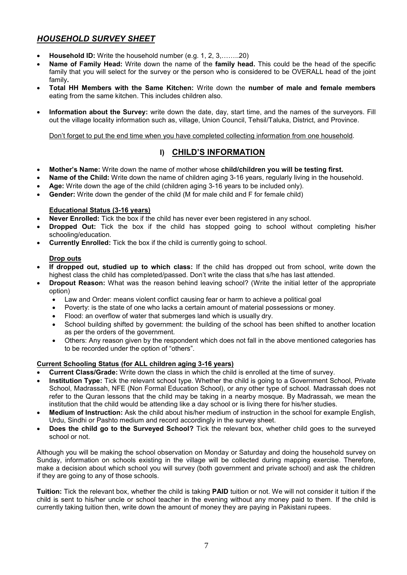# <span id="page-6-0"></span>*HOUSEHOLD SURVEY SHEET*

- **Household ID:** Write the household number (e.g. 1, 2, 3,……..20)
- **Name of Family Head:** Write down the name of the **family head.** This could be the head of the specific family that you will select for the survey or the person who is considered to be OVERALL head of the joint family**.**
- **Total HH Members with the Same Kitchen:** Write down the **number of male and female members**  eating from the same kitchen. This includes children also.
- **Information about the Survey:** write down the date, day, start time, and the names of the surveyors. Fill out the village locality information such as, village, Union Council, Tehsil/Taluka, District, and Province.

Don't forget to put the end time when you have completed collecting information from one household.

# **I) CHILD'S INFORMATION**

- **Mother's Name:** Write down the name of mother whose **child/children you will be testing first.**
- **Name of the Child:** Write down the name of children aging 3-16 years, regularly living in the household.
- **Age:** Write down the age of the child (children aging 3-16 years to be included only).
- **Gender:** Write down the gender of the child (M for male child and F for female child)

#### **Educational Status (3-16 years)**

- **Never Enrolled:** Tick the box if the child has never ever been registered in any school.
- **Dropped Out:** Tick the box if the child has stopped going to school without completing his/her schooling/education.
- **Currently Enrolled:** Tick the box if the child is currently going to school.

#### **Drop outs**

- **If dropped out, studied up to which class:** If the child has dropped out from school, write down the highest class the child has completed/passed. Don't write the class that s/he has last attended.
- **Dropout Reason:** What was the reason behind leaving school? (Write the initial letter of the appropriate option)
	- Law and Order: means violent conflict causing fear or harm to achieve a political goal
	- Poverty: is the state of one who lacks a certain amount of material possessions or money.
	- Flood: an overflow of water that submerges land which is usually dry.
	- School building shifted by government: the building of the school has been shifted to another location as per the orders of the government.
	- Others: Any reason given by the respondent which does not fall in the above mentioned categories has to be recorded under the option of "others".

#### **Current Schooling Status (for ALL children aging 3-16 years)**

- **Current Class/Grade:** Write down the class in which the child is enrolled at the time of survey.
- **Institution Type:** Tick the relevant school type. Whether the child is going to a Government School, Private School, Madrassah, NFE (Non Formal Education School), or any other type of school. Madrassah does not refer to the Quran lessons that the child may be taking in a nearby mosque. By Madrassah, we mean the institution that the child would be attending like a day school or is living there for his/her studies.
- **Medium of Instruction:** Ask the child about his/her medium of instruction in the school for example English, Urdu, Sindhi or Pashto medium and record accordingly in the survey sheet.
- **Does the child go to the Surveyed School?** Tick the relevant box, whether child goes to the surveyed school or not.

Although you will be making the school observation on Monday or Saturday and doing the household survey on Sunday, information on schools existing in the village will be collected during mapping exercise. Therefore, make a decision about which school you will survey (both government and private school) and ask the children if they are going to any of those schools.

**Tuition:** Tick the relevant box, whether the child is taking **PAID** tuition or not. We will not consider it tuition if the child is sent to his/her uncle or school teacher in the evening without any money paid to them. If the child is currently taking tuition then, write down the amount of money they are paying in Pakistani rupees.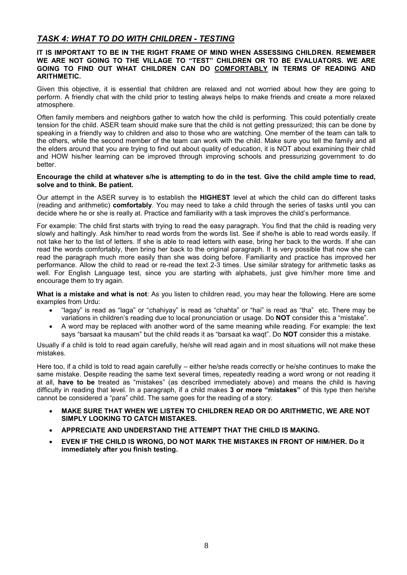# <span id="page-7-0"></span>*TASK 4: WHAT TO DO WITH CHILDREN - TESTING*

#### **IT IS IMPORTANT TO BE IN THE RIGHT FRAME OF MIND WHEN ASSESSING CHILDREN. REMEMBER WE ARE NOT GOING TO THE VILLAGE TO "TEST" CHILDREN OR TO BE EVALUATORS. WE ARE GOING TO FIND OUT WHAT CHILDREN CAN DO COMFORTABLY IN TERMS OF READING AND ARITHMETIC.**

Given this objective, it is essential that children are relaxed and not worried about how they are going to perform. A friendly chat with the child prior to testing always helps to make friends and create a more relaxed atmosphere.

Often family members and neighbors gather to watch how the child is performing. This could potentially create tension for the child. ASER team should make sure that the child is not getting pressurized; this can be done by speaking in a friendly way to children and also to those who are watching. One member of the team can talk to the others, while the second member of the team can work with the child. Make sure you tell the family and all the elders around that you are trying to find out about quality of education, it is NOT about examining their child and HOW his/her learning can be improved through improving schools and pressurizing government to do better.

#### **Encourage the child at whatever s/he is attempting to do in the test. Give the child ample time to read, solve and to think. Be patient.**

Our attempt in the ASER survey is to establish the **HIGHEST** level at which the child can do different tasks (reading and arithmetic) **comfortably**. You may need to take a child through the series of tasks until you can decide where he or she is really at. Practice and familiarity with a task improves the child's performance.

For example: The child first starts with trying to read the easy paragraph. You find that the child is reading very slowly and haltingly. Ask him/her to read words from the words list. See if she/he is able to read words easily. If not take her to the list of letters. If she is able to read letters with ease, bring her back to the words. If she can read the words comfortably, then bring her back to the original paragraph. It is very possible that now she can read the paragraph much more easily than she was doing before. Familiarity and practice has improved her performance. Allow the child to read or re-read the text 2-3 times. Use similar strategy for arithmetic tasks as well. For English Language test, since you are starting with alphabets, just give him/her more time and encourage them to try again.

**What is a mistake and what is not**: As you listen to children read, you may hear the following. Here are some examples from Urdu:

- "lagay" is read as "laga" or "chahiyay" is read as "chahta" or "hai" is read as "tha" etc. There may be variations in children's reading due to local pronunciation or usage. Do **NOT** consider this a "mistake".
- A word may be replaced with another word of the same meaning while reading. For example: the text says "barsaat ka mausam" but the child reads it as "barsaat ka waqt". Do **NOT** consider this a mistake.

Usually if a child is told to read again carefully, he/she will read again and in most situations will not make these mistakes.

Here too, if a child is told to read again carefully – either he/she reads correctly or he/she continues to make the same mistake. Despite reading the same text several times, repeatedly reading a word wrong or not reading it at all, **have to be** treated as "mistakes" (as described immediately above) and means the child is having difficulty in reading that level. In a paragraph, if a child makes **3 or more "mistakes"** of this type then he/she cannot be considered a "para" child. The same goes for the reading of a story.

- **MAKE SURE THAT WHEN WE LISTEN TO CHILDREN READ OR DO ARITHMETIC, WE ARE NOT SIMPLY LOOKING TO CATCH MISTAKES.**
- **APPRECIATE AND UNDERSTAND THE ATTEMPT THAT THE CHILD IS MAKING.**
- **EVEN IF THE CHILD IS WRONG, DO NOT MARK THE MISTAKES IN FRONT OF HIM/HER. Do it immediately after you finish testing.**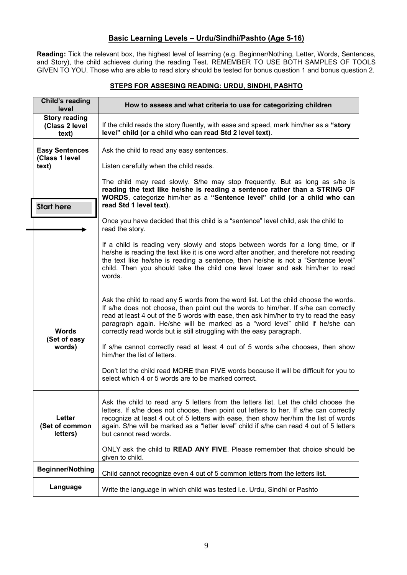# **Basic Learning Levels – Urdu/Sindhi/Pashto (Age 5-16)**

**Reading:** Tick the relevant box, the highest level of learning (e.g. Beginner/Nothing, Letter, Words, Sentences, and Story), the child achieves during the reading Test. REMEMBER TO USE BOTH SAMPLES OF TOOLS GIVEN TO YOU. Those who are able to read story should be tested for bonus question 1 and bonus question 2.

#### **STEPS FOR ASSESING READING: URDU, SINDHI, PASHTO**

<span id="page-8-0"></span>

| Child's reading<br>level                         | How to assess and what criteria to use for categorizing children                                                                                                                                                                                                                                                                                                                                                                                                                  |
|--------------------------------------------------|-----------------------------------------------------------------------------------------------------------------------------------------------------------------------------------------------------------------------------------------------------------------------------------------------------------------------------------------------------------------------------------------------------------------------------------------------------------------------------------|
| <b>Story reading</b><br>(Class 2 level<br>text)  | If the child reads the story fluently, with ease and speed, mark him/her as a "story<br>level" child (or a child who can read Std 2 level text).                                                                                                                                                                                                                                                                                                                                  |
| <b>Easy Sentences</b><br>(Class 1 level<br>text) | Ask the child to read any easy sentences.                                                                                                                                                                                                                                                                                                                                                                                                                                         |
|                                                  | Listen carefully when the child reads.                                                                                                                                                                                                                                                                                                                                                                                                                                            |
|                                                  | The child may read slowly. S/he may stop frequently. But as long as s/he is<br>reading the text like he/she is reading a sentence rather than a STRING OF<br>WORDS, categorize him/her as a "Sentence level" child (or a child who can                                                                                                                                                                                                                                            |
| <b>Start here</b>                                | read Std 1 level text).                                                                                                                                                                                                                                                                                                                                                                                                                                                           |
|                                                  | Once you have decided that this child is a "sentence" level child, ask the child to<br>read the story.                                                                                                                                                                                                                                                                                                                                                                            |
|                                                  | If a child is reading very slowly and stops between words for a long time, or if<br>he/she is reading the text like it is one word after another, and therefore not reading<br>the text like he/she is reading a sentence, then he/she is not a "Sentence level"<br>child. Then you should take the child one level lower and ask him/her to read<br>words.                                                                                                                       |
| <b>Words</b><br>(Set of easy<br>words)           | Ask the child to read any 5 words from the word list. Let the child choose the words.<br>If s/he does not choose, then point out the words to him/her. If s/he can correctly<br>read at least 4 out of the 5 words with ease, then ask him/her to try to read the easy<br>paragraph again. He/she will be marked as a "word level" child if he/she can<br>correctly read words but is still struggling with the easy paragraph.                                                   |
|                                                  | If s/he cannot correctly read at least 4 out of 5 words s/he chooses, then show<br>him/her the list of letters.                                                                                                                                                                                                                                                                                                                                                                   |
|                                                  | Don't let the child read MORE than FIVE words because it will be difficult for you to<br>select which 4 or 5 words are to be marked correct.                                                                                                                                                                                                                                                                                                                                      |
| Letter<br>(Set of common<br>letters)             | Ask the child to read any 5 letters from the letters list. Let the child choose the<br>letters. If s/he does not choose, then point out letters to her. If s/he can correctly<br>recognize at least 4 out of 5 letters with ease, then show her/him the list of words<br>again. S/he will be marked as a "letter level" child if s/he can read 4 out of 5 letters<br>but cannot read words.<br>ONLY ask the child to <b>READ ANY FIVE</b> . Please remember that choice should be |
|                                                  | given to child.                                                                                                                                                                                                                                                                                                                                                                                                                                                                   |
| <b>Beginner/Nothing</b>                          | Child cannot recognize even 4 out of 5 common letters from the letters list.                                                                                                                                                                                                                                                                                                                                                                                                      |
| Language                                         | Write the language in which child was tested i.e. Urdu, Sindhi or Pashto                                                                                                                                                                                                                                                                                                                                                                                                          |

 $\overline{\phantom{0}}$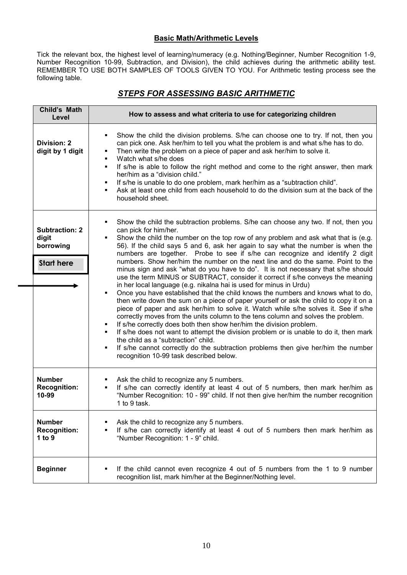# **Basic Math/Arithmetic Levels**

Tick the relevant box, the highest level of learning/numeracy (e.g. Nothing/Beginner, Number Recognition 1-9, Number Recognition 10-99, Subtraction, and Division), the child achieves during the arithmetic ability test. REMEMBER TO USE BOTH SAMPLES OF TOOLS GIVEN TO YOU. For Arithmetic testing process see the following table.

# *STEPS FOR ASSESSING BASIC ARITHMETIC*

<span id="page-9-0"></span>

| Child's Math<br>Level                                            | How to assess and what criteria to use for categorizing children                                                                                                                                                                                                                                                                                                                                                                                                                                                                                                                                                                                                                                                                                                                                                                                                                                                                                                                                                                                                                                                                                                                                                                                                                                                                                                                                                                                                             |  |
|------------------------------------------------------------------|------------------------------------------------------------------------------------------------------------------------------------------------------------------------------------------------------------------------------------------------------------------------------------------------------------------------------------------------------------------------------------------------------------------------------------------------------------------------------------------------------------------------------------------------------------------------------------------------------------------------------------------------------------------------------------------------------------------------------------------------------------------------------------------------------------------------------------------------------------------------------------------------------------------------------------------------------------------------------------------------------------------------------------------------------------------------------------------------------------------------------------------------------------------------------------------------------------------------------------------------------------------------------------------------------------------------------------------------------------------------------------------------------------------------------------------------------------------------------|--|
| <b>Division: 2</b><br>digit by 1 digit                           | Show the child the division problems. S/he can choose one to try. If not, then you<br>٠<br>can pick one. Ask her/him to tell you what the problem is and what s/he has to do.<br>Then write the problem on a piece of paper and ask her/him to solve it.<br>٠<br>Watch what s/he does<br>$\blacksquare$<br>If s/he is able to follow the right method and come to the right answer, then mark<br>$\blacksquare$<br>her/him as a "division child."<br>If s/he is unable to do one problem, mark her/him as a "subtraction child".<br>٠<br>Ask at least one child from each household to do the division sum at the back of the<br>household sheet.                                                                                                                                                                                                                                                                                                                                                                                                                                                                                                                                                                                                                                                                                                                                                                                                                            |  |
| <b>Subtraction: 2</b><br>digit<br>borrowing<br><b>Start here</b> | Show the child the subtraction problems. S/he can choose any two. If not, then you<br>٠<br>can pick for him/her.<br>Show the child the number on the top row of any problem and ask what that is (e.g.<br>$\blacksquare$<br>56). If the child says 5 and 6, ask her again to say what the number is when the<br>numbers are together. Probe to see if s/he can recognize and identify 2 digit<br>numbers. Show her/him the number on the next line and do the same. Point to the<br>minus sign and ask "what do you have to do". It is not necessary that s/he should<br>use the term MINUS or SUBTRACT, consider it correct if s/he conveys the meaning<br>in her local language (e.g. nikalna hai is used for minus in Urdu)<br>Once you have established that the child knows the numbers and knows what to do,<br>$\blacksquare$<br>then write down the sum on a piece of paper yourself or ask the child to copy it on a<br>piece of paper and ask her/him to solve it. Watch while s/he solves it. See if s/he<br>correctly moves from the units column to the tens column and solves the problem.<br>If s/he correctly does both then show her/him the division problem.<br>٠<br>If s/he does not want to attempt the division problem or is unable to do it, then mark<br>$\blacksquare$<br>the child as a "subtraction" child.<br>If s/he cannot correctly do the subtraction problems then give her/him the number<br>٠<br>recognition 10-99 task described below. |  |
| <b>Number</b><br><b>Recognition:</b><br>10-99                    | Ask the child to recognize any 5 numbers.<br>If s/he can correctly identify at least 4 out of 5 numbers, then mark her/him as<br>$\blacksquare$<br>"Number Recognition: 10 - 99" child. If not then give her/him the number recognition<br>1 to 9 task.                                                                                                                                                                                                                                                                                                                                                                                                                                                                                                                                                                                                                                                                                                                                                                                                                                                                                                                                                                                                                                                                                                                                                                                                                      |  |
| <b>Number</b><br><b>Recognition:</b><br>1 to $9$                 | Ask the child to recognize any 5 numbers.<br>٠<br>If s/he can correctly identify at least 4 out of 5 numbers then mark her/him as<br>٠<br>"Number Recognition: 1 - 9" child.                                                                                                                                                                                                                                                                                                                                                                                                                                                                                                                                                                                                                                                                                                                                                                                                                                                                                                                                                                                                                                                                                                                                                                                                                                                                                                 |  |
| <b>Beginner</b>                                                  | If the child cannot even recognize 4 out of 5 numbers from the 1 to 9 number<br>٠<br>recognition list, mark him/her at the Beginner/Nothing level.                                                                                                                                                                                                                                                                                                                                                                                                                                                                                                                                                                                                                                                                                                                                                                                                                                                                                                                                                                                                                                                                                                                                                                                                                                                                                                                           |  |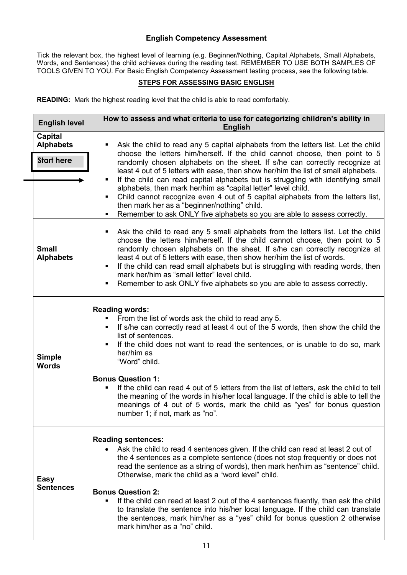# **English Competency Assessment**

Tick the relevant box, the highest level of learning (e.g. Beginner/Nothing, Capital Alphabets, Small Alphabets, Words, and Sentences) the child achieves during the reading test. REMEMBER TO USE BOTH SAMPLES OF TOOLS GIVEN TO YOU. For Basic English Competency Assessment testing process, see the following table.

#### **STEPS FOR ASSESSING BASIC ENGLISH**

<span id="page-10-0"></span>**READING:** Mark the highest reading level that the child is able to read comfortably.

| <b>English level</b>                                    | How to assess and what criteria to use for categorizing children's ability in<br><b>English</b>                                                                                                                                                                                                                                                                                                                                                                                                                                                                                                                                                                                                                               |
|---------------------------------------------------------|-------------------------------------------------------------------------------------------------------------------------------------------------------------------------------------------------------------------------------------------------------------------------------------------------------------------------------------------------------------------------------------------------------------------------------------------------------------------------------------------------------------------------------------------------------------------------------------------------------------------------------------------------------------------------------------------------------------------------------|
| <b>Capital</b><br><b>Alphabets</b><br><b>Start here</b> | Ask the child to read any 5 capital alphabets from the letters list. Let the child<br>٠<br>choose the letters him/herself. If the child cannot choose, then point to 5<br>randomly chosen alphabets on the sheet. If s/he can correctly recognize at<br>least 4 out of 5 letters with ease, then show her/him the list of small alphabets.<br>If the child can read capital alphabets but is struggling with identifying small<br>٠<br>alphabets, then mark her/him as "capital letter" level child.<br>Child cannot recognize even 4 out of 5 capital alphabets from the letters list,<br>٠<br>then mark her as a "beginner/nothing" child.<br>Remember to ask ONLY five alphabets so you are able to assess correctly.<br>٠ |
| <b>Small</b><br><b>Alphabets</b>                        | Ask the child to read any 5 small alphabets from the letters list. Let the child<br>٠<br>choose the letters him/herself. If the child cannot choose, then point to 5<br>randomly chosen alphabets on the sheet. If s/he can correctly recognize at<br>least 4 out of 5 letters with ease, then show her/him the list of words.<br>If the child can read small alphabets but is struggling with reading words, then<br>$\blacksquare$<br>mark her/him as "small letter" level child.<br>Remember to ask ONLY five alphabets so you are able to assess correctly.<br>٠                                                                                                                                                          |
| <b>Simple</b><br><b>Words</b>                           | <b>Reading words:</b><br>From the list of words ask the child to read any 5.<br>If s/he can correctly read at least 4 out of the 5 words, then show the child the<br>п<br>list of sentences.<br>If the child does not want to read the sentences, or is unable to do so, mark<br>٠<br>her/him as<br>"Word" child.<br><b>Bonus Question 1:</b><br>If the child can read 4 out of 5 letters from the list of letters, ask the child to tell<br>the meaning of the words in his/her local language. If the child is able to tell the<br>meanings of 4 out of 5 words, mark the child as "yes" for bonus question<br>number 1; if not, mark as "no".                                                                              |
| Easy<br><b>Sentences</b>                                | <b>Reading sentences:</b><br>Ask the child to read 4 sentences given. If the child can read at least 2 out of<br>the 4 sentences as a complete sentence (does not stop frequently or does not<br>read the sentence as a string of words), then mark her/him as "sentence" child.<br>Otherwise, mark the child as a "word level" child.<br><b>Bonus Question 2:</b><br>If the child can read at least 2 out of the 4 sentences fluently, than ask the child<br>٠<br>to translate the sentence into his/her local language. If the child can translate<br>the sentences, mark him/her as a "yes" child for bonus question 2 otherwise<br>mark him/her as a "no" child.                                                          |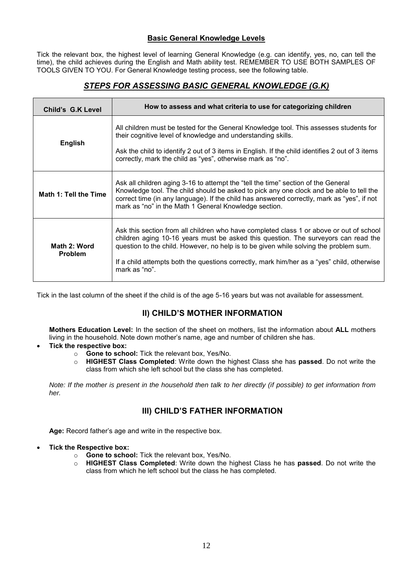# **Basic General Knowledge Levels**

Tick the relevant box, the highest level of learning General Knowledge (e.g. can identify, yes, no, can tell the time), the child achieves during the English and Math ability test. REMEMBER TO USE BOTH SAMPLES OF TOOLS GIVEN TO YOU. For General Knowledge testing process, see the following table.

# *STEPS FOR ASSESSING BASIC GENERAL KNOWLEDGE (G.K)*

<span id="page-11-0"></span>

| Child's G.K Level              | How to assess and what criteria to use for categorizing children                                                                                                                                                                                                                                                                                                                      |
|--------------------------------|---------------------------------------------------------------------------------------------------------------------------------------------------------------------------------------------------------------------------------------------------------------------------------------------------------------------------------------------------------------------------------------|
| <b>English</b>                 | All children must be tested for the General Knowledge tool. This assesses students for<br>their cognitive level of knowledge and understanding skills.<br>Ask the child to identify 2 out of 3 items in English. If the child identifies 2 out of 3 items<br>correctly, mark the child as "yes", otherwise mark as "no".                                                              |
| Math 1: Tell the Time          | Ask all children aging 3-16 to attempt the "tell the time" section of the General<br>Knowledge tool. The child should be asked to pick any one clock and be able to tell the<br>correct time (in any language). If the child has answered correctly, mark as "yes", if not<br>mark as "no" in the Math 1 General Knowledge section.                                                   |
| Math 2: Word<br><b>Problem</b> | Ask this section from all children who have completed class 1 or above or out of school<br>children aging 10-16 years must be asked this question. The surveyors can read the<br>question to the child. However, no help is to be given while solving the problem sum.<br>If a child attempts both the questions correctly, mark him/her as a "yes" child, otherwise<br>mark as "no". |

Tick in the last column of the sheet if the child is of the age 5-16 years but was not available for assessment.

# **II) CHILD'S MOTHER INFORMATION**

**Mothers Education Level:** In the section of the sheet on mothers, list the information about **ALL** mothers living in the household. Note down mother's name, age and number of children she has.

- **Tick the respective box:** 
	- o **Gone to school:** Tick the relevant box, Yes/No.
	- o **HIGHEST Class Completed**: Write down the highest Class she has **passed**. Do not write the class from which she left school but the class she has completed.

*Note: If the mother is present in the household then talk to her directly (if possible) to get information from her.*

# **III) CHILD'S FATHER INFORMATION**

**Age:** Record father's age and write in the respective box.

- **Tick the Respective box:** 
	- o **Gone to school:** Tick the relevant box, Yes/No.
	- o **HIGHEST Class Completed**: Write down the highest Class he has **passed**. Do not write the class from which he left school but the class he has completed.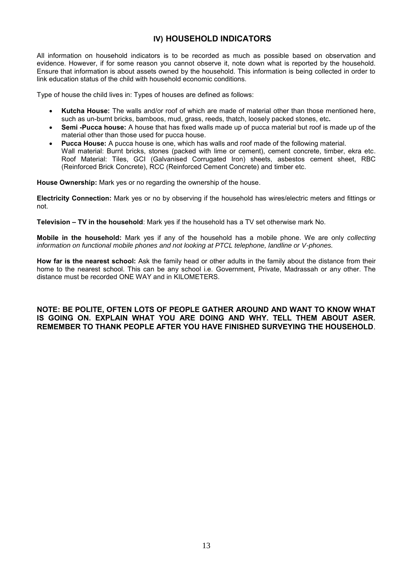# **IV) HOUSEHOLD INDICATORS**

All information on household indicators is to be recorded as much as possible based on observation and evidence. However, if for some reason you cannot observe it, note down what is reported by the household. Ensure that information is about assets owned by the household. This information is being collected in order to link education status of the child with household economic conditions.

Type of house the child lives in: Types of houses are defined as follows:

- **Kutcha House:** The walls and/or roof of which are made of material other than those mentioned here, such as un-burnt bricks, bamboos, mud, grass, reeds, thatch, loosely packed stones, etc**.**
- **Semi -Pucca house:** A house that has fixed walls made up of pucca material but roof is made up of the material other than those used for pucca house.
- **Pucca House:** A pucca house is one, which has walls and roof made of the following material. Wall material: Burnt bricks, stones (packed with lime or cement), cement concrete, timber, ekra etc. Roof Material: Tiles, GCI (Galvanised Corrugated Iron) sheets, asbestos cement sheet, RBC (Reinforced Brick Concrete), RCC (Reinforced Cement Concrete) and timber etc.

**House Ownership:** Mark yes or no regarding the ownership of the house.

**Electricity Connection:** Mark yes or no by observing if the household has wires/electric meters and fittings or not.

**Television – TV in the household**: Mark yes if the household has a TV set otherwise mark No.

**Mobile in the household:** Mark yes if any of the household has a mobile phone. We are only *collecting information on functional mobile phones and not looking at PTCL telephone, landline or V-phones.* 

**How far is the nearest school:** Ask the family head or other adults in the family about the distance from their home to the nearest school. This can be any school i.e. Government, Private, Madrassah or any other. The distance must be recorded ONE WAY and in KILOMETERS.

#### **NOTE: BE POLITE, OFTEN LOTS OF PEOPLE GATHER AROUND AND WANT TO KNOW WHAT IS GOING ON. EXPLAIN WHAT YOU ARE DOING AND WHY. TELL THEM ABOUT ASER. REMEMBER TO THANK PEOPLE AFTER YOU HAVE FINISHED SURVEYING THE HOUSEHOLD**.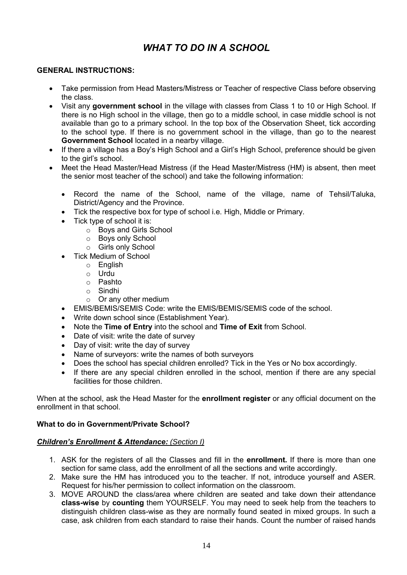# *WHAT TO DO IN A SCHOOL*

# <span id="page-13-0"></span>**GENERAL INSTRUCTIONS:**

- Take permission from Head Masters/Mistress or Teacher of respective Class before observing the class.
- Visit any **government school** in the village with classes from Class 1 to 10 or High School. If there is no High school in the village, then go to a middle school, in case middle school is not available than go to a primary school. In the top box of the Observation Sheet, tick according to the school type. If there is no government school in the village, than go to the nearest **Government School** located in a nearby village.
- If there a village has a Boy's High School and a Girl's High School, preference should be given to the girl's school.
- Meet the Head Master/Head Mistress (if the Head Master/Mistress (HM) is absent, then meet the senior most teacher of the school) and take the following information:
	- Record the name of the School, name of the village, name of Tehsil/Taluka, District/Agency and the Province.
	- Tick the respective box for type of school i.e. High, Middle or Primary.
	- Tick type of school it is:
		- o Boys and Girls School
		- o Boys only School
		- o Girls only School
	- Tick Medium of School
		- o English
		- o Urdu
		- o Pashto
		- o Sindhi
		- $\circ$  Or any other medium
	- EMIS/BEMIS/SEMIS Code: write the EMIS/BEMIS/SEMIS code of the school.
	- Write down school since (Establishment Year).
	- Note the **Time of Entry** into the school and **Time of Exit** from School.
	- Date of visit: write the date of survey
	- Day of visit: write the day of survey
	- Name of surveyors: write the names of both surveyors
	- Does the school has special children enrolled? Tick in the Yes or No box accordingly.
	- If there are any special children enrolled in the school, mention if there are any special facilities for those children.

When at the school, ask the Head Master for the **enrollment register** or any official document on the enrollment in that school.

## **What to do in Government/Private School?**

## *Children's Enrollment & Attendance: (Section I)*

- 1. ASK for the registers of all the Classes and fill in the **enrollment.** If there is more than one section for same class, add the enrollment of all the sections and write accordingly.
- 2. Make sure the HM has introduced you to the teacher. If not, introduce yourself and ASER. Request for his/her permission to collect information on the classroom.
- 3. MOVE AROUND the class/area where children are seated and take down their attendance **class-wise** by **counting** them YOURSELF. You may need to seek help from the teachers to distinguish children class-wise as they are normally found seated in mixed groups. In such a case, ask children from each standard to raise their hands. Count the number of raised hands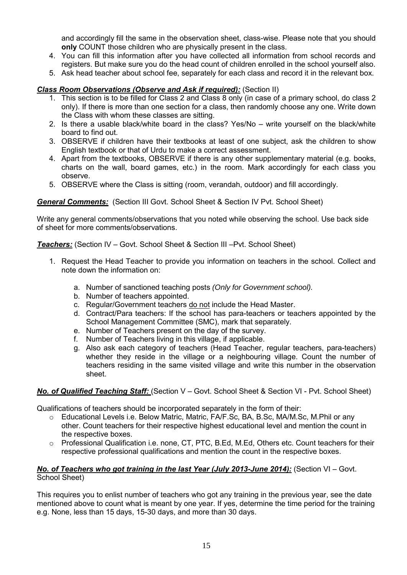and accordingly fill the same in the observation sheet, class-wise. Please note that you should **only** COUNT those children who are physically present in the class.

- 4. You can fill this information after you have collected all information from school records and registers. But make sure you do the head count of children enrolled in the school yourself also.
- 5. Ask head teacher about school fee, separately for each class and record it in the relevant box.

# *Class Room Observations (Observe and Ask if required):* (Section II)

- 1. This section is to be filled for Class 2 and Class 8 only (in case of a primary school, do class 2 only). If there is more than one section for a class, then randomly choose any one. Write down the Class with whom these classes are sitting.
- 2. Is there a usable black/white board in the class? Yes/No write yourself on the black/white board to find out.
- 3. OBSERVE if children have their textbooks at least of one subject, ask the children to show English textbook or that of Urdu to make a correct assessment.
- 4. Apart from the textbooks, OBSERVE if there is any other supplementary material (e.g. books, charts on the wall, board games, etc.) in the room. Mark accordingly for each class you observe.
- 5. OBSERVE where the Class is sitting (room, verandah, outdoor) and fill accordingly.

# *General Comments:* (Section III Govt. School Sheet & Section IV Pvt. School Sheet)

Write any general comments/observations that you noted while observing the school. Use back side of sheet for more comments/observations.

*Teachers:* (Section IV – Govt. School Sheet & Section III –Pvt. School Sheet)

- 1. Request the Head Teacher to provide you information on teachers in the school. Collect and note down the information on:
	- a. Number of sanctioned teaching posts *(Only for Government school).*
	- b. Number of teachers appointed.
	- c. Regular/Government teachers do not include the Head Master.
	- d. Contract/Para teachers: If the school has para-teachers or teachers appointed by the School Management Committee (SMC), mark that separately.
	- e. Number of Teachers present on the day of the survey.
	- f. Number of Teachers living in this village, if applicable.
	- g. Also ask each category of teachers (Head Teacher, regular teachers, para-teachers) whether they reside in the village or a neighbouring village. Count the number of teachers residing in the same visited village and write this number in the observation sheet.

## *No. of Qualified Teaching Staff:* (Section V – Govt. School Sheet & Section VI - Pvt. School Sheet)

Qualifications of teachers should be incorporated separately in the form of their:

- o Educational Levels i.e. Below Matric, Matric, FA/F.Sc, BA, B.Sc, MA/M.Sc, M.Phil or any other. Count teachers for their respective highest educational level and mention the count in the respective boxes.
- o Professional Qualification i.e. none, CT, PTC, B.Ed, M.Ed, Others etc. Count teachers for their respective professional qualifications and mention the count in the respective boxes.

## *No. of Teachers who got training in the last Year (July 2013-June 2014): (Section VI – Govt.* School Sheet)

This requires you to enlist number of teachers who got any training in the previous year, see the date mentioned above to count what is meant by one year. If yes, determine the time period for the training e.g. None, less than 15 days, 15-30 days, and more than 30 days.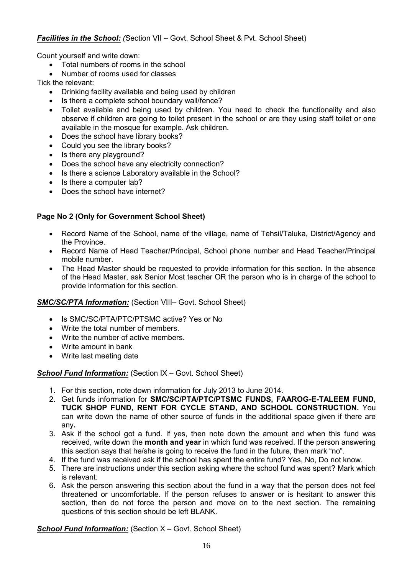Count yourself and write down:

- Total numbers of rooms in the school
- Number of rooms used for classes

Tick the relevant:

- Drinking facility available and being used by children
- Is there a complete school boundary wall/fence?
- Toilet available and being used by children. You need to check the functionality and also observe if children are going to toilet present in the school or are they using staff toilet or one available in the mosque for example. Ask children.
- Does the school have library books?
- Could you see the library books?
- Is there any playground?
- Does the school have any electricity connection?
- Is there a science Laboratory available in the School?
- Is there a computer lab?
- Does the school have internet?

# **Page No 2 (Only for Government School Sheet)**

- Record Name of the School, name of the village, name of Tehsil/Taluka, District/Agency and the Province.
- Record Name of Head Teacher/Principal, School phone number and Head Teacher/Principal mobile number.
- The Head Master should be requested to provide information for this section. In the absence of the Head Master, ask Senior Most teacher OR the person who is in charge of the school to provide information for this section.

## *SMC/SC/PTA Information:* (Section VIII– Govt. School Sheet)

- Is SMC/SC/PTA/PTC/PTSMC active? Yes or No
- Write the total number of members.
- Write the number of active members.
- Write amount in bank
- Write last meeting date

## **School Fund Information:** (Section IX – Govt. School Sheet)

- 1. For this section, note down information for July 2013 to June 2014.
- 2. Get funds information for **SMC/SC/PTA/PTC/PTSMC FUNDS, FAAROG-E-TALEEM FUND, TUCK SHOP FUND, RENT FOR CYCLE STAND, AND SCHOOL CONSTRUCTION.** You can write down the name of other source of funds in the additional space given if there are any**.**
- 3. Ask if the school got a fund. If yes, then note down the amount and when this fund was received, write down the **month and year** in which fund was received. If the person answering this section says that he/she is going to receive the fund in the future, then mark "no".
- 4. If the fund was received ask if the school has spent the entire fund? Yes, No, Do not know.
- 5. There are instructions under this section asking where the school fund was spent? Mark which is relevant.
- 6. Ask the person answering this section about the fund in a way that the person does not feel threatened or uncomfortable. If the person refuses to answer or is hesitant to answer this section, then do not force the person and move on to the next section. The remaining questions of this section should be left BLANK.

**School Fund Information:** (Section X – Govt. School Sheet)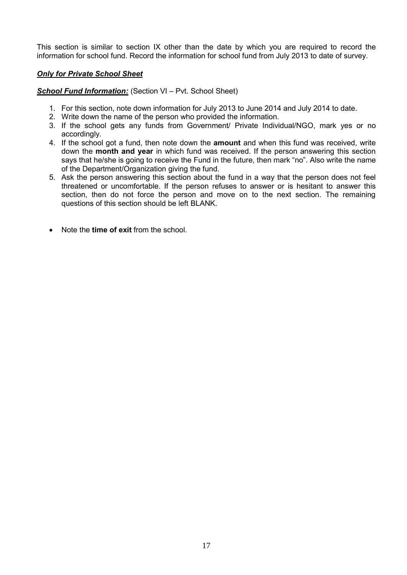This section is similar to section IX other than the date by which you are required to record the information for school fund. Record the information for school fund from July 2013 to date of survey.

# *Only for Private School Sheet*

**School Fund Information:** (Section VI – Pvt. School Sheet)

- 1. For this section, note down information for July 2013 to June 2014 and July 2014 to date.
- 2. Write down the name of the person who provided the information.
- 3. If the school gets any funds from Government/ Private Individual/NGO, mark yes or no accordingly.
- 4. If the school got a fund, then note down the **amount** and when this fund was received, write down the **month and year** in which fund was received. If the person answering this section says that he/she is going to receive the Fund in the future, then mark "no". Also write the name of the Department/Organization giving the fund.
- 5. Ask the person answering this section about the fund in a way that the person does not feel threatened or uncomfortable. If the person refuses to answer or is hesitant to answer this section, then do not force the person and move on to the next section. The remaining questions of this section should be left BLANK.
- Note the **time of exit** from the school.